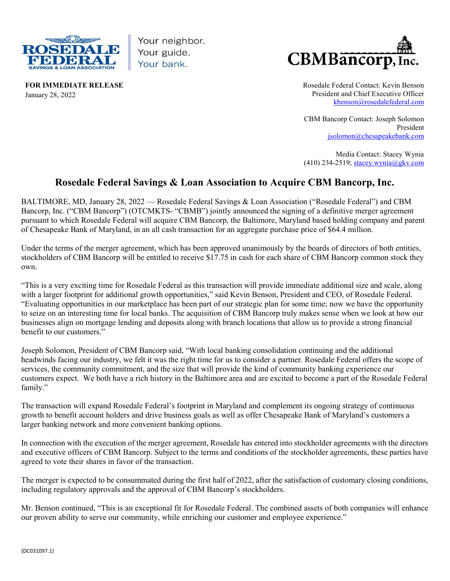

Your neighbor. Your guide. Your bank.



FOR IMMEDIATE RELEASE January 28, 2022

Rosedale Federal Contact: Kevin Benson President and Chief Executive Officer kbenson@rosedalefederal.com

CBM Bancorp Contact: Joseph Solomon President jsolomon@chesapeakebank.com

Media Contact: Stacey Wynia (410) 234-2519; stacey.wynia@gkv.com

## Rosedale Federal Savings & Loan Association to Acquire CBM Bancorp, Inc.

BALTIMORE, MD, January 28, 2022 — Rosedale Federal Savings & Loan Association ("Rosedale Federal") and CBM Bancorp, Inc. ("CBM Bancorp") (OTCMKTS- "CBMB") jointly announced the signing of a definitive merger agreement pursuant to which Rosedale Federal will acquire CBM Bancorp, the Baltimore, Maryland based holding company and parent of Chesapeake Bank of Maryland, in an all cash transaction for an aggregate purchase price of \$64.4 million.

Under the terms of the merger agreement, which has been approved unanimously by the boards of directors of both entities, stockholders of CBM Bancorp will be entitled to receive \$17.75 in cash for each share of CBM Bancorp common stock they own.

"This is a very exciting time for Rosedale Federal as this transaction will provide immediate additional size and scale, along with a larger footprint for additional growth opportunities," said Kevin Benson, President and CEO, of Rosedale Federal. "Evaluating opportunities in our marketplace has been part of our strategic plan for some time; now we have the opportunity to seize on an interesting time for local banks. The acquisition of CBM Bancorp truly makes sense when we look at how our businesses align on mortgage lending and deposits along with branch locations that allow us to provide a strong financial benefit to our customers."

Joseph Solomon, President of CBM Bancorp said, "With local banking consolidation continuing and the additional headwinds facing our industry, we felt it was the right time for us to consider a partner. Rosedale Federal offers the scope of services, the community commitment, and the size that will provide the kind of community banking experience our customers expect. We both have a rich history in the Baltimore area and are excited to become a part of the Rosedale Federal family."

The transaction will expand Rosedale Federal's footprint in Maryland and complement its ongoing strategy of continuous growth to benefit account holders and drive business goals as well as offer Chesapeake Bank of Maryland's customers a larger banking network and more convenient banking options.

In connection with the execution of the merger agreement, Rosedale has entered into stockholder agreements with the directors and executive officers of CBM Bancorp. Subject to the terms and conditions of the stockholder agreements, these parties have agreed to vote their shares in favor of the transaction.

The merger is expected to be consummated during the first half of 2022, after the satisfaction of customary closing conditions, including regulatory approvals and the approval of CBM Bancorp's stockholders.

Mr. Benson continued, "This is an exceptional fit for Rosedale Federal. The combined assets of both companies will enhance our proven ability to serve our community, while enriching our customer and employee experience."